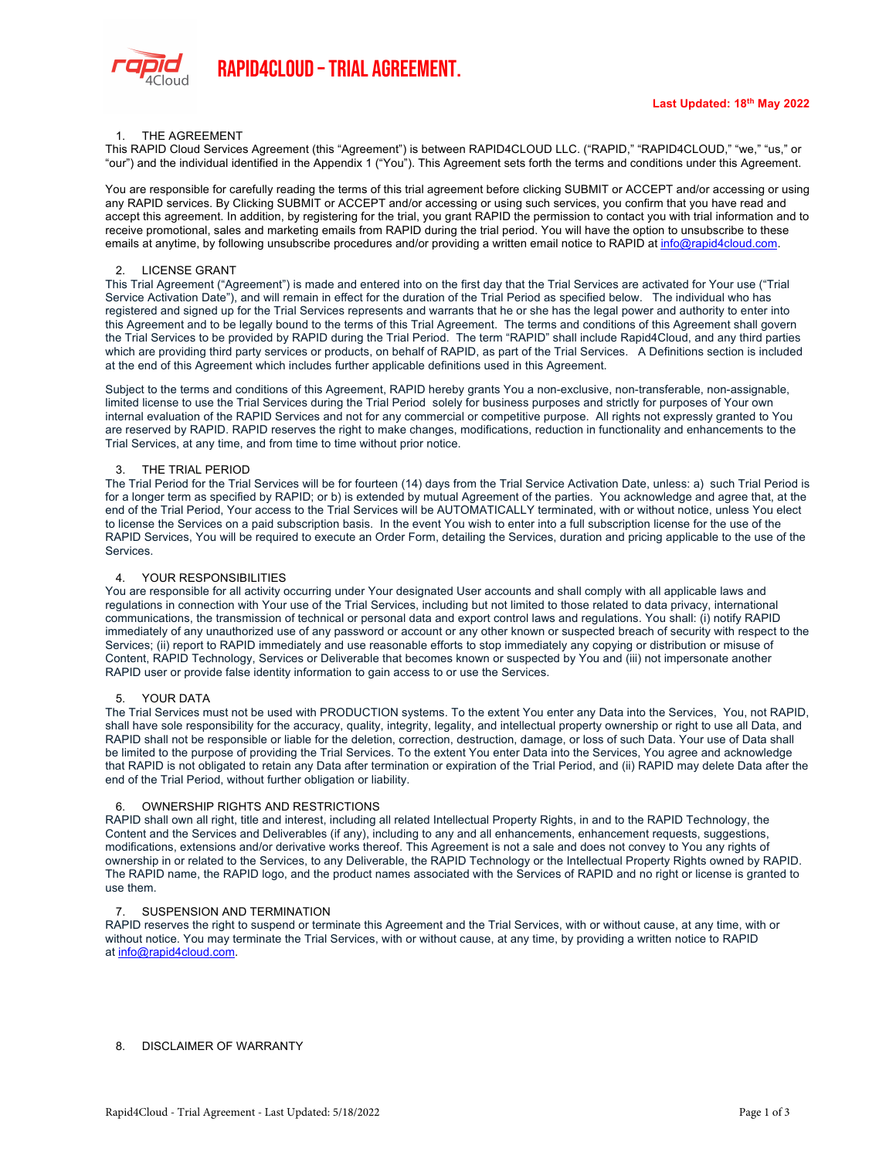

# 1. THE AGREEMENT

This RAPID Cloud Services Agreement (this "Agreement") is between RAPID4CLOUD LLC. ("RAPID," "RAPID4CLOUD," "we," "us," or "our") and the individual identified in the Appendix 1 ("You"). This Agreement sets forth the terms and conditions under this Agreement.

You are responsible for carefully reading the terms of this trial agreement before clicking SUBMIT or ACCEPT and/or accessing or using any RAPID services. By Clicking SUBMIT or ACCEPT and/or accessing or using such services, you confirm that you have read and accept this agreement. In addition, by registering for the trial, you grant RAPID the permission to contact you with trial information and to receive promotional, sales and marketing emails from RAPID during the trial period. You will have the option to unsubscribe to these emails at anytime, by following unsubscribe procedures and/or providing a written email notice to RAPID at info@rapid4cloud.com.

## 2. LICENSE GRANT

This Trial Agreement ("Agreement") is made and entered into on the first day that the Trial Services are activated for Your use ("Trial Service Activation Date"), and will remain in effect for the duration of the Trial Period as specified below. The individual who has registered and signed up for the Trial Services represents and warrants that he or she has the legal power and authority to enter into this Agreement and to be legally bound to the terms of this Trial Agreement. The terms and conditions of this Agreement shall govern the Trial Services to be provided by RAPID during the Trial Period. The term "RAPID" shall include Rapid4Cloud, and any third parties which are providing third party services or products, on behalf of RAPID, as part of the Trial Services. A Definitions section is included at the end of this Agreement which includes further applicable definitions used in this Agreement.

Subject to the terms and conditions of this Agreement, RAPID hereby grants You a non-exclusive, non-transferable, non-assignable, limited license to use the Trial Services during the Trial Period solely for business purposes and strictly for purposes of Your own internal evaluation of the RAPID Services and not for any commercial or competitive purpose. All rights not expressly granted to You are reserved by RAPID. RAPID reserves the right to make changes, modifications, reduction in functionality and enhancements to the Trial Services, at any time, and from time to time without prior notice.

### 3. THE TRIAL PERIOD

The Trial Period for the Trial Services will be for fourteen (14) days from the Trial Service Activation Date, unless: a) such Trial Period is for a longer term as specified by RAPID; or b) is extended by mutual Agreement of the parties. You acknowledge and agree that, at the end of the Trial Period, Your access to the Trial Services will be AUTOMATICALLY terminated, with or without notice, unless You elect to license the Services on a paid subscription basis. In the event You wish to enter into a full subscription license for the use of the RAPID Services, You will be required to execute an Order Form, detailing the Services, duration and pricing applicable to the use of the Services.

## 4. YOUR RESPONSIBILITIES

You are responsible for all activity occurring under Your designated User accounts and shall comply with all applicable laws and regulations in connection with Your use of the Trial Services, including but not limited to those related to data privacy, international communications, the transmission of technical or personal data and export control laws and regulations. You shall: (i) notify RAPID immediately of any unauthorized use of any password or account or any other known or suspected breach of security with respect to the Services; (ii) report to RAPID immediately and use reasonable efforts to stop immediately any copying or distribution or misuse of Content, RAPID Technology, Services or Deliverable that becomes known or suspected by You and (iii) not impersonate another RAPID user or provide false identity information to gain access to or use the Services.

#### 5. YOUR DATA

The Trial Services must not be used with PRODUCTION systems. To the extent You enter any Data into the Services, You, not RAPID, shall have sole responsibility for the accuracy, quality, integrity, legality, and intellectual property ownership or right to use all Data, and RAPID shall not be responsible or liable for the deletion, correction, destruction, damage, or loss of such Data. Your use of Data shall be limited to the purpose of providing the Trial Services. To the extent You enter Data into the Services, You agree and acknowledge that RAPID is not obligated to retain any Data after termination or expiration of the Trial Period, and (ii) RAPID may delete Data after the end of the Trial Period, without further obligation or liability.

# 6. OWNERSHIP RIGHTS AND RESTRICTIONS

RAPID shall own all right, title and interest, including all related Intellectual Property Rights, in and to the RAPID Technology, the Content and the Services and Deliverables (if any), including to any and all enhancements, enhancement requests, suggestions, modifications, extensions and/or derivative works thereof. This Agreement is not a sale and does not convey to You any rights of ownership in or related to the Services, to any Deliverable, the RAPID Technology or the Intellectual Property Rights owned by RAPID. The RAPID name, the RAPID logo, and the product names associated with the Services of RAPID and no right or license is granted to use them.

#### 7. SUSPENSION AND TERMINATION

RAPID reserves the right to suspend or terminate this Agreement and the Trial Services, with or without cause, at any time, with or without notice. You may terminate the Trial Services, with or without cause, at any time, by providing a written notice to RAPID at info@rapid4cloud.com.

#### 8. DISCLAIMER OF WARRANTY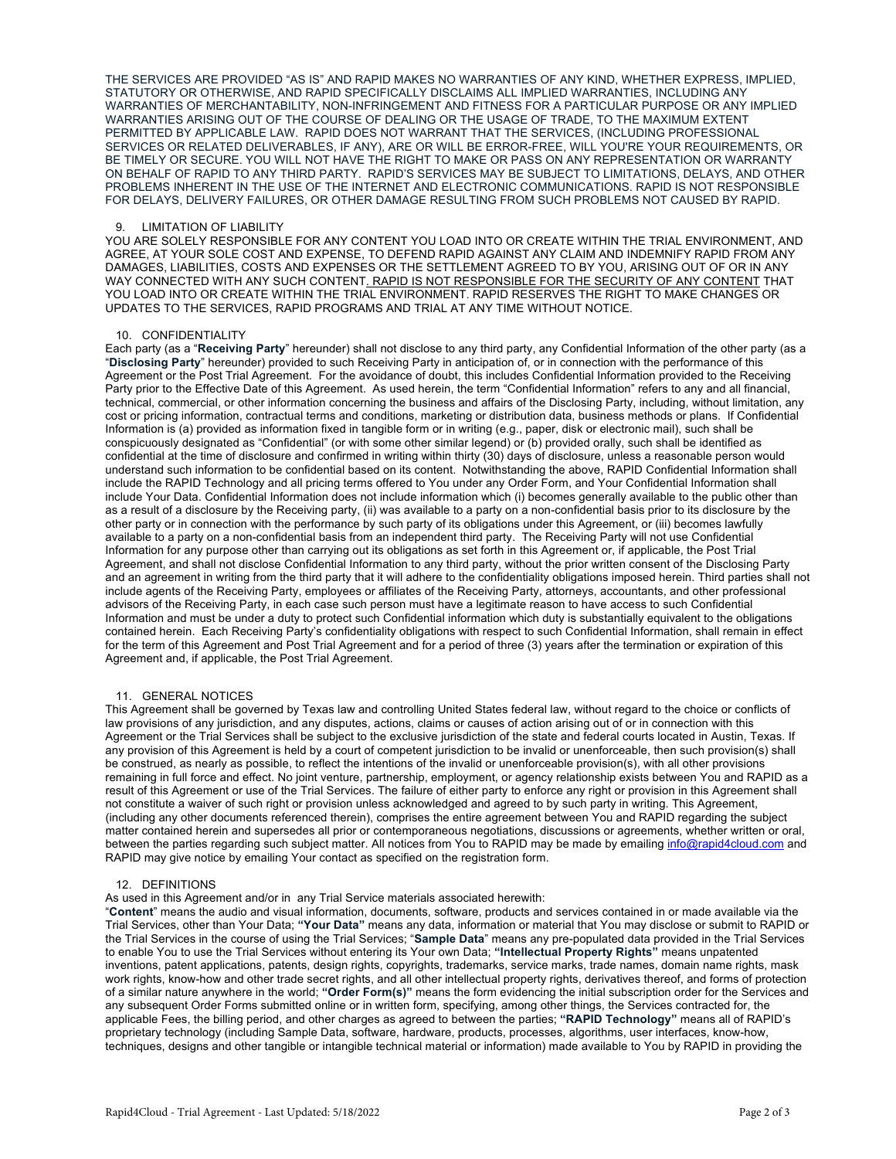THE SERVICES ARE PROVIDED "AS IS" AND RAPID MAKES NO WARRANTIES OF ANY KIND, WHETHER EXPRESS, IMPLIED, STATUTORY OR OTHERWISE, AND RAPID SPECIFICALLY DISCLAIMS ALL IMPLIED WARRANTIES, INCLUDING ANY WARRANTIES OF MERCHANTABILITY, NON-INFRINGEMENT AND FITNESS FOR A PARTICULAR PURPOSE OR ANY IMPLIED WARRANTIES ARISING OUT OF THE COURSE OF DEALING OR THE USAGE OF TRADE, TO THE MAXIMUM EXTENT PERMITTED BY APPLICABLE LAW. RAPID DOES NOT WARRANT THAT THE SERVICES, (INCLUDING PROFESSIONAL SERVICES OR RELATED DELIVERABLES, IF ANY), ARE OR WILL BE ERROR-FREE, WILL YOU'RE YOUR REQUIREMENTS, OR BE TIMELY OR SECURE. YOU WILL NOT HAVE THE RIGHT TO MAKE OR PASS ON ANY REPRESENTATION OR WARRANTY ON BEHALF OF RAPID TO ANY THIRD PARTY. RAPID'S SERVICES MAY BE SUBJECT TO LIMITATIONS, DELAYS, AND OTHER PROBLEMS INHERENT IN THE USE OF THE INTERNET AND ELECTRONIC COMMUNICATIONS. RAPID IS NOT RESPONSIBLE FOR DELAYS, DELIVERY FAILURES, OR OTHER DAMAGE RESULTING FROM SUCH PROBLEMS NOT CAUSED BY RAPID.

### 9. LIMITATION OF LIABILITY

YOU ARE SOLELY RESPONSIBLE FOR ANY CONTENT YOU LOAD INTO OR CREATE WITHIN THE TRIAL ENVIRONMENT, AND AGREE, AT YOUR SOLE COST AND EXPENSE, TO DEFEND RAPID AGAINST ANY CLAIM AND INDEMNIFY RAPID FROM ANY DAMAGES, LIABILITIES, COSTS AND EXPENSES OR THE SETTLEMENT AGREED TO BY YOU, ARISING OUT OF OR IN ANY WAY CONNECTED WITH ANY SUCH CONTENT. RAPID IS NOT RESPONSIBLE FOR THE SECURITY OF ANY CONTENT THAT YOU LOAD INTO OR CREATE WITHIN THE TRIAL ENVIRONMENT. RAPID RESERVES THE RIGHT TO MAKE CHANGES OR UPDATES TO THE SERVICES, RAPID PROGRAMS AND TRIAL AT ANY TIME WITHOUT NOTICE.

### 10. CONFIDENTIALITY

Each party (as a "**Receiving Party**" hereunder) shall not disclose to any third party, any Confidential Information of the other party (as a "**Disclosing Party**" hereunder) provided to such Receiving Party in anticipation of, or in connection with the performance of this Agreement or the Post Trial Agreement. For the avoidance of doubt, this includes Confidential Information provided to the Receiving Party prior to the Effective Date of this Agreement. As used herein, the term "Confidential Information" refers to any and all financial, technical, commercial, or other information concerning the business and affairs of the Disclosing Party, including, without limitation, any cost or pricing information, contractual terms and conditions, marketing or distribution data, business methods or plans. If Confidential Information is (a) provided as information fixed in tangible form or in writing (e.g., paper, disk or electronic mail), such shall be conspicuously designated as "Confidential" (or with some other similar legend) or (b) provided orally, such shall be identified as confidential at the time of disclosure and confirmed in writing within thirty (30) days of disclosure, unless a reasonable person would understand such information to be confidential based on its content. Notwithstanding the above, RAPID Confidential Information shall include the RAPID Technology and all pricing terms offered to You under any Order Form, and Your Confidential Information shall include Your Data. Confidential Information does not include information which (i) becomes generally available to the public other than as a result of a disclosure by the Receiving party, (ii) was available to a party on a non-confidential basis prior to its disclosure by the other party or in connection with the performance by such party of its obligations under this Agreement, or (iii) becomes lawfully available to a party on a non-confidential basis from an independent third party. The Receiving Party will not use Confidential Information for any purpose other than carrying out its obligations as set forth in this Agreement or, if applicable, the Post Trial Agreement, and shall not disclose Confidential Information to any third party, without the prior written consent of the Disclosing Party and an agreement in writing from the third party that it will adhere to the confidentiality obligations imposed herein. Third parties shall not include agents of the Receiving Party, employees or affiliates of the Receiving Party, attorneys, accountants, and other professional advisors of the Receiving Party, in each case such person must have a legitimate reason to have access to such Confidential Information and must be under a duty to protect such Confidential information which duty is substantially equivalent to the obligations contained herein. Each Receiving Party's confidentiality obligations with respect to such Confidential Information, shall remain in effect for the term of this Agreement and Post Trial Agreement and for a period of three (3) years after the termination or expiration of this Agreement and, if applicable, the Post Trial Agreement.

#### 11. GENERAL NOTICES

This Agreement shall be governed by Texas law and controlling United States federal law, without regard to the choice or conflicts of law provisions of any jurisdiction, and any disputes, actions, claims or causes of action arising out of or in connection with this Agreement or the Trial Services shall be subject to the exclusive jurisdiction of the state and federal courts located in Austin, Texas. If any provision of this Agreement is held by a court of competent jurisdiction to be invalid or unenforceable, then such provision(s) shall be construed, as nearly as possible, to reflect the intentions of the invalid or unenforceable provision(s), with all other provisions remaining in full force and effect. No joint venture, partnership, employment, or agency relationship exists between You and RAPID as a result of this Agreement or use of the Trial Services. The failure of either party to enforce any right or provision in this Agreement shall not constitute a waiver of such right or provision unless acknowledged and agreed to by such party in writing. This Agreement, (including any other documents referenced therein), comprises the entire agreement between You and RAPID regarding the subject matter contained herein and supersedes all prior or contemporaneous negotiations, discussions or agreements, whether written or oral, between the parties regarding such subject matter. All notices from You to RAPID may be made by emailing info@rapid4cloud.com and RAPID may give notice by emailing Your contact as specified on the registration form.

### 12. DEFINITIONS

As used in this Agreement and/or in any Trial Service materials associated herewith:

"**Content**" means the audio and visual information, documents, software, products and services contained in or made available via the Trial Services, other than Your Data; **"Your Data"** means any data, information or material that You may disclose or submit to RAPID or the Trial Services in the course of using the Trial Services; "**Sample Data**" means any pre-populated data provided in the Trial Services to enable You to use the Trial Services without entering its Your own Data; **"Intellectual Property Rights"** means unpatented inventions, patent applications, patents, design rights, copyrights, trademarks, service marks, trade names, domain name rights, mask work rights, know-how and other trade secret rights, and all other intellectual property rights, derivatives thereof, and forms of protection of a similar nature anywhere in the world; **"Order Form(s)"** means the form evidencing the initial subscription order for the Services and any subsequent Order Forms submitted online or in written form, specifying, among other things, the Services contracted for, the applicable Fees, the billing period, and other charges as agreed to between the parties; **"RAPID Technology"** means all of RAPID's proprietary technology (including Sample Data, software, hardware, products, processes, algorithms, user interfaces, know-how, techniques, designs and other tangible or intangible technical material or information) made available to You by RAPID in providing the